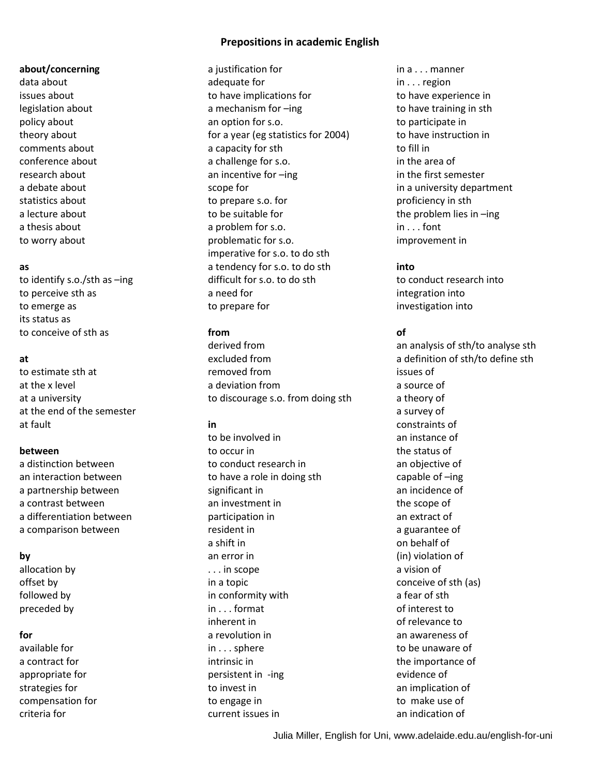# **Prepositions in academic English**

## **about/concerning**

data about issues about legislation about policy about theory about comments about conference about research about a debate about statistics about a lecture about a thesis about to worry about

## **as**

to identify s.o./sth as –ing to perceive sth as to emerge as its status as to conceive of sth as

# **at**

to estimate sth at at the x level at a university at the end of the semester at fault

# **between**

a distinction between an interaction between a partnership between a contrast between a differentiation between a comparison between

# **by**

allocation by offset by followed by preceded by

## **for**

available for a contract for appropriate for strategies for compensation for criteria for

a justification for adequate for to have implications for a mechanism for –ing an option for s.o. for a year (eg statistics for 2004) a capacity for sth a challenge for s.o. an incentive for –ing scope for to prepare s.o. for to be suitable for a problem for s.o. problematic for s.o. imperative for s.o. to do sth a tendency for s.o. to do sth difficult for s.o. to do sth a need for to prepare for

# **from**

derived from excluded from removed from a deviation from to discourage s.o. from doing sth

# **in**

to be involved in to occur in to conduct research in to have a role in doing sth significant in an investment in participation in resident in a shift in an error in . . . in scope in a topic in conformity with in . . . format inherent in a revolution in in . . . sphere intrinsic in persistent in -ing to invest in to engage in current issues in

in a . . . manner in . . . region to have experience in to have training in sth to participate in to have instruction in to fill in in the area of in the first semester in a university department proficiency in sth the problem lies in –ing in . . . font improvement in

# **into**

to conduct research into integration into investigation into

# **of**

an analysis of sth/to analyse sth a definition of sth/to define sth issues of a source of a theory of a survey of constraints of an instance of the status of an objective of capable of –ing an incidence of the scope of an extract of a guarantee of on behalf of (in) violation of a vision of conceive of sth (as) a fear of sth of interest to of relevance to an awareness of to be unaware of the importance of evidence of an implication of to make use of an indication of

Julia Miller, English for Uni, www.adelaide.edu.au/english-for-uni